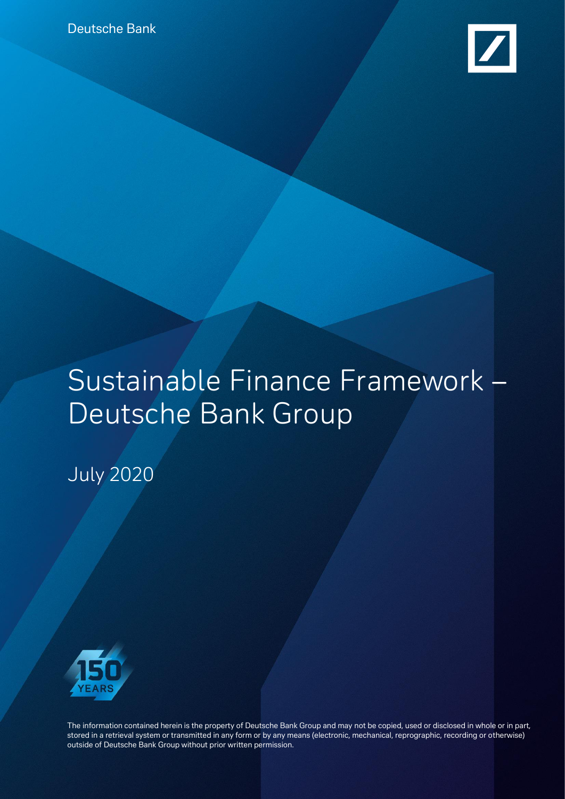

# Sustainable Finance Framework – Deutsche Bank Group

July 2020



The information contained herein is the property of Deutsche Bank Group and may not be copied, used or disclosed in whole or in part, stored in a retrieval system or transmitted in any form or by any means (electronic, mechanical, reprographic, recording or otherwise) outside of Deutsche Bank Group without prior written permission.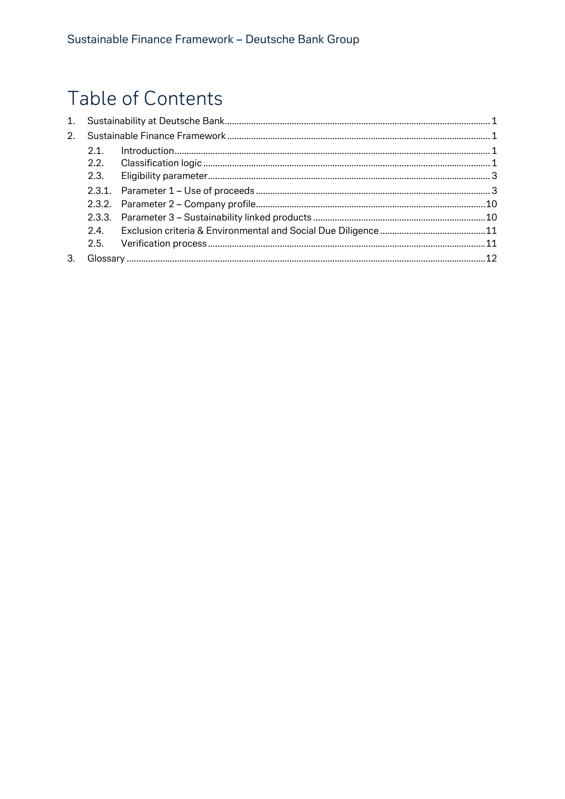# Table of Contents

| 2 <sub>1</sub> |  |  |
|----------------|--|--|
| 2.1            |  |  |
| 2.2.           |  |  |
| 2.3.           |  |  |
|                |  |  |
|                |  |  |
|                |  |  |
| 24             |  |  |
|                |  |  |
|                |  |  |
|                |  |  |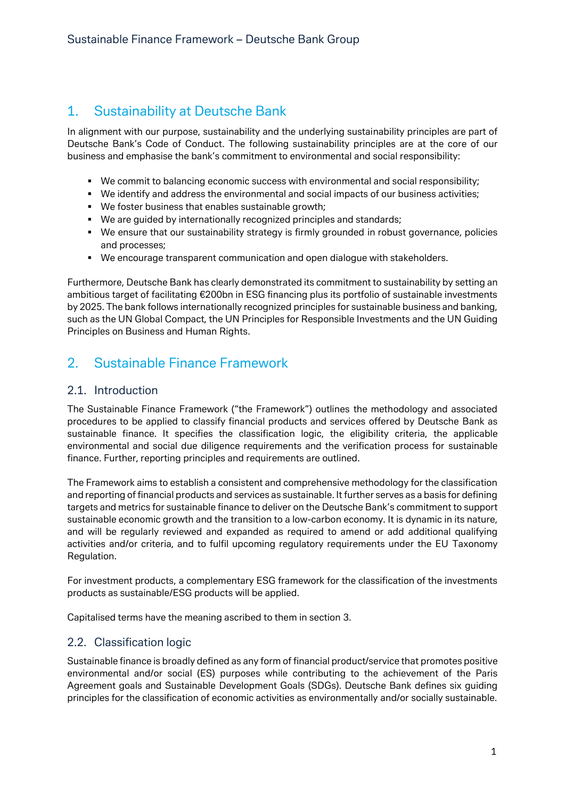## <span id="page-2-0"></span>1. Sustainability at Deutsche Bank

In alignment with our purpose, sustainability and the underlying sustainability principles are part of Deutsche Bank's Code of Conduct. The following sustainability principles are at the core of our business and emphasise the bank's commitment to environmental and social responsibility:

- We commit to balancing economic success with environmental and social responsibility;
- We identify and address the environmental and social impacts of our business activities;
- We foster business that enables sustainable growth;
- We are guided by internationally recognized principles and standards;
- We ensure that our sustainability strategy is firmly grounded in robust governance, policies and processes;
- We encourage transparent communication and open dialogue with stakeholders.

Furthermore, Deutsche Bank has clearly demonstrated its commitment to sustainability by setting an ambitious target of facilitating €200bn in ESG financing plus its portfolio of sustainable investments by 2025. The bank follows internationally recognized principles for sustainable business and banking, such as the UN Global Compact, the UN Principles for Responsible Investments and the UN Guiding Principles on Business and Human Rights.

## <span id="page-2-1"></span>2. Sustainable Finance Framework

#### <span id="page-2-2"></span>2.1. Introduction

The Sustainable Finance Framework ("the Framework") outlines the methodology and associated procedures to be applied to classify financial products and services offered by Deutsche Bank as sustainable finance. It specifies the classification logic, the eligibility criteria, the applicable environmental and social due diligence requirements and the verification process for sustainable finance. Further, reporting principles and requirements are outlined.

The Framework aims to establish a consistent and comprehensive methodology for the classification and reporting of financial products and services as sustainable. It further serves as a basis for defining targets and metrics for sustainable finance to deliver on the Deutsche Bank's commitment to support sustainable economic growth and the transition to a low-carbon economy. It is dynamic in its nature, and will be regularly reviewed and expanded as required to amend or add additional qualifying activities and/or criteria, and to fulfil upcoming regulatory requirements under the EU Taxonomy Regulation.

For investment products, a complementary ESG framework for the classification of the investments products as sustainable/ESG products will be applied.

<span id="page-2-3"></span>Capitalised terms have the meaning ascribed to them in section 3.

#### 2.2. Classification logic

Sustainable finance is broadly defined as any form of financial product/service that promotes positive environmental and/or social (ES) purposes while contributing to the achievement of the Paris Agreement goals and Sustainable Development Goals (SDGs). Deutsche Bank defines six guiding principles for the classification of economic activities as environmentally and/or socially sustainable.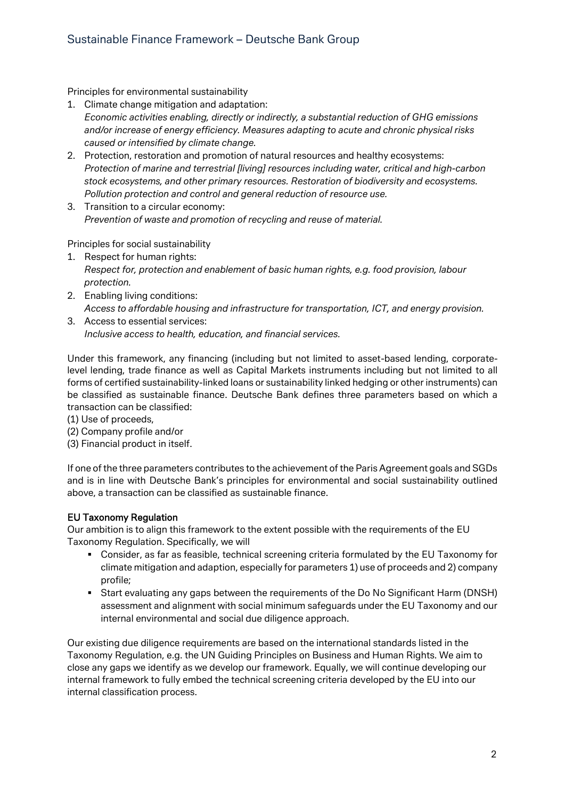Principles for environmental sustainability

- 1. Climate change mitigation and adaptation: *Economic activities enabling, directly or indirectly, a substantial reduction of GHG emissions and/or increase of energy efficiency. Measures adapting to acute and chronic physical risks caused or intensified by climate change.*
- 2. Protection, restoration and promotion of natural resources and healthy ecosystems: *Protection of marine and terrestrial [living] resources including water, critical and high-carbon stock ecosystems, and other primary resources. Restoration of biodiversity and ecosystems. Pollution protection and control and general reduction of resource use.*
- 3. Transition to a circular economy: *Prevention of waste and promotion of recycling and reuse of material.*

Principles for social sustainability

- 1. Respect for human rights: *Respect for, protection and enablement of basic human rights, e.g. food provision, labour protection.*
- 2. Enabling living conditions: *Access to affordable housing and infrastructure for transportation, ICT, and energy provision.*

3. Access to essential services: *Inclusive access to health, education, and financial services.*

Under this framework, any financing (including but not limited to asset-based lending, corporatelevel lending, trade finance as well as Capital Markets instruments including but not limited to all forms of certified sustainability-linked loans or sustainability linked hedging or other instruments) can be classified as sustainable finance. Deutsche Bank defines three parameters based on which a transaction can be classified:

- (1) Use of proceeds,
- (2) Company profile and/or
- (3) Financial product in itself.

If one of the three parameters contributes to the achievement of the Paris Agreement goals and SGDs and is in line with Deutsche Bank's principles for environmental and social sustainability outlined above, a transaction can be classified as sustainable finance.

#### EU Taxonomy Regulation

Our ambition is to align this framework to the extent possible with the requirements of the EU Taxonomy Regulation. Specifically, we will

- Consider, as far as feasible, technical screening criteria formulated by the EU Taxonomy for climate mitigation and adaption, especially for parameters 1) use of proceeds and 2) company profile;
- Start evaluating any gaps between the requirements of the Do No Significant Harm (DNSH) assessment and alignment with social minimum safeguards under the EU Taxonomy and our internal environmental and social due diligence approach.

Our existing due diligence requirements are based on the international standards listed in the Taxonomy Regulation, e.g. the UN Guiding Principles on Business and Human Rights. We aim to close any gaps we identify as we develop our framework. Equally, we will continue developing our internal framework to fully embed the technical screening criteria developed by the EU into our internal classification process.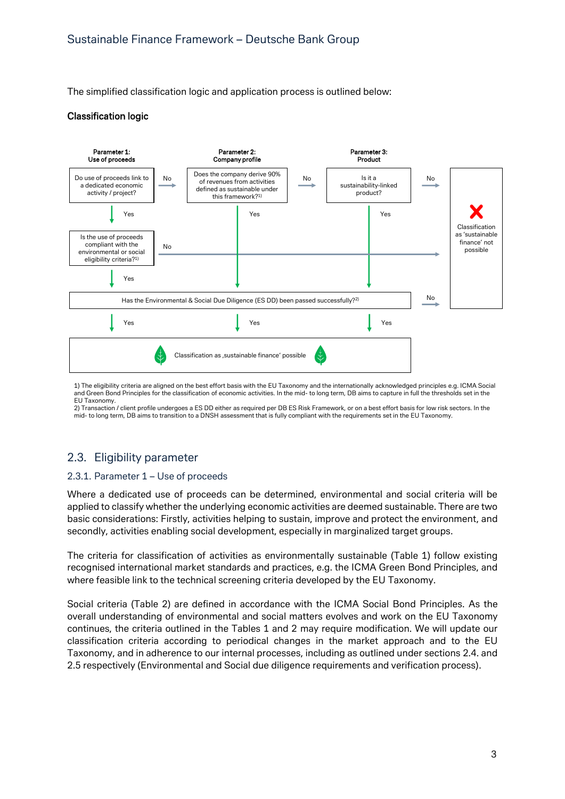The simplified classification logic and application process is outlined below:

#### Classification logic



1) The eligibility criteria are aligned on the best effort basis with the EU Taxonomy and the internationally acknowledged principles e.g. ICMA Social and Green Bond Principles for the classification of economic activities. In the mid- to long term, DB aims to capture in full the thresholds set in the EU Taxonomy.

2) Transaction / client profile undergoes a ES DD either as required per DB ES Risk Framework, or on a best effort basis for low risk sectors. In the mid- to long term, DB aims to transition to a DNSH assessment that is fully compliant with the requirements set in the EU Taxonomy.

#### <span id="page-4-0"></span>2.3. Eligibility parameter

#### <span id="page-4-1"></span>2.3.1. Parameter 1 – Use of proceeds

Where a dedicated use of proceeds can be determined, environmental and social criteria will be applied to classify whether the underlying economic activities are deemed sustainable. There are two basic considerations: Firstly, activities helping to sustain, improve and protect the environment, and secondly, activities enabling social development, especially in marginalized target groups.

The criteria for classification of activities as environmentally sustainable (Table 1) follow existing recognised international market standards and practices, e.g. the ICMA Green Bond Principles, and where feasible link to the technical screening criteria developed by the EU Taxonomy.

Social criteria (Table 2) are defined in accordance with the ICMA Social Bond Principles. As the overall understanding of environmental and social matters evolves and work on the EU Taxonomy continues, the criteria outlined in the Tables 1 and 2 may require modification. We will update our classification criteria according to periodical changes in the market approach and to the EU Taxonomy, and in adherence to our internal processes, including as outlined under sections 2.4. and 2.5 respectively (Environmental and Social due diligence requirements and verification process).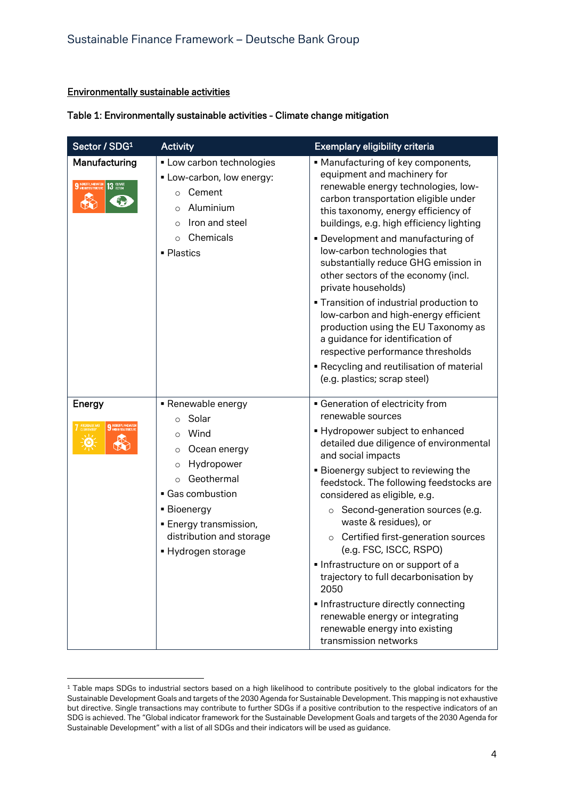#### Environmentally sustainable activities

#### Table 1: Environmentally sustainable activities - Climate change mitigation

| Sector / SDG <sup>1</sup>              | <b>Activity</b>                                                                                                                                                                                                                                       | Exemplary eligibility criteria                                                                                                                                                                                                                                                                                                                                                                                                                                                                                                                                                                                                                                                                      |
|----------------------------------------|-------------------------------------------------------------------------------------------------------------------------------------------------------------------------------------------------------------------------------------------------------|-----------------------------------------------------------------------------------------------------------------------------------------------------------------------------------------------------------------------------------------------------------------------------------------------------------------------------------------------------------------------------------------------------------------------------------------------------------------------------------------------------------------------------------------------------------------------------------------------------------------------------------------------------------------------------------------------------|
| Manufacturing<br>$13 \text{ mm}$<br>Ç. | • Low carbon technologies<br>• Low-carbon, low energy:<br>Cement<br>$\Omega$<br>Aluminium<br>$\Omega$<br>Iron and steel<br>Chemicals<br>$\circ$<br>• Plastics                                                                                         | • Manufacturing of key components,<br>equipment and machinery for<br>renewable energy technologies, low-<br>carbon transportation eligible under<br>this taxonomy, energy efficiency of<br>buildings, e.g. high efficiency lighting<br>• Development and manufacturing of<br>low-carbon technologies that<br>substantially reduce GHG emission in<br>other sectors of the economy (incl.<br>private households)<br><b>Transition of industrial production to</b><br>low-carbon and high-energy efficient<br>production using the EU Taxonomy as<br>a guidance for identification of<br>respective performance thresholds<br>Recycling and reutilisation of material<br>(e.g. plastics; scrap steel) |
| Energy<br>9 INDUSTRY, INNEVATI         | • Renewable energy<br>Solar<br>$\circ$<br>Wind<br>$\Omega$<br>Ocean energy<br>$\circ$<br>Hydropower<br>$\circ$<br>Geothermal<br>• Gas combustion<br><b>Bioenergy</b><br><b>Energy transmission,</b><br>distribution and storage<br>■ Hydrogen storage | • Generation of electricity from<br>renewable sources<br>• Hydropower subject to enhanced<br>detailed due diligence of environmental<br>and social impacts<br><b>Bioenergy subject to reviewing the</b><br>feedstock. The following feedstocks are<br>considered as eligible, e.g.<br>○ Second-generation sources (e.g.<br>waste & residues), or<br>Certified first-generation sources<br>$\circ$<br>(e.g. FSC, ISCC, RSPO)<br>Infrastructure on or support of a<br>trajectory to full decarbonisation by<br>2050<br>Infrastructure directly connecting<br>renewable energy or integrating<br>renewable energy into existing<br>transmission networks                                               |

<sup>&</sup>lt;sup>1</sup> Table maps SDGs to industrial sectors based on a high likelihood to contribute positively to the global indicators for the Sustainable Development Goals and targets of the 2030 Agenda for Sustainable Development. This mapping is not exhaustive but directive. Single transactions may contribute to further SDGs if a positive contribution to the respective indicators of an SDG is achieved. The "Global indicator framework for the Sustainable Development Goals and targets of the 2030 Agenda for Sustainable Development" with a list of all SDGs and their indicators will be used as guidance.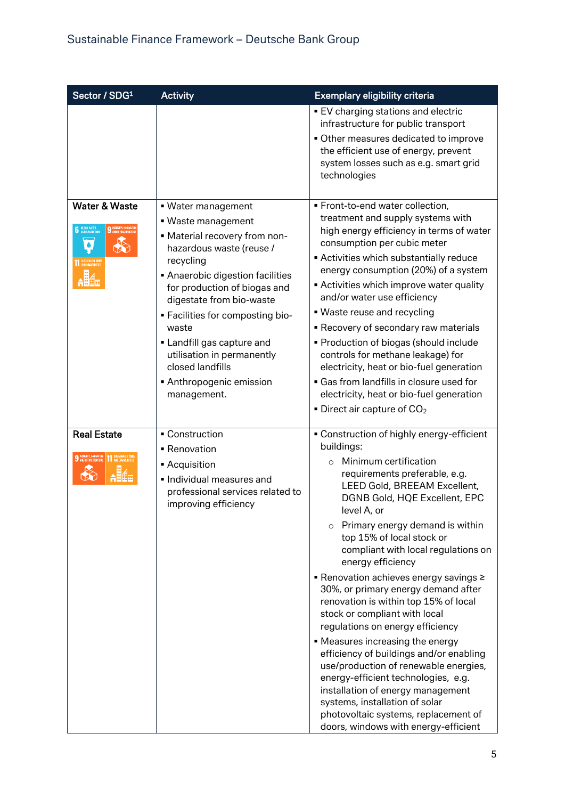| Sector / SDG1                                                   | <b>Activity</b>                                                                                                                                                                                                                                                                                                                                                                        | Exemplary eligibility criteria                                                                                                                                                                                                                                                                                                                                                                                                                                                                                                                                                                                                                                                                                                                                                                                                                                            |
|-----------------------------------------------------------------|----------------------------------------------------------------------------------------------------------------------------------------------------------------------------------------------------------------------------------------------------------------------------------------------------------------------------------------------------------------------------------------|---------------------------------------------------------------------------------------------------------------------------------------------------------------------------------------------------------------------------------------------------------------------------------------------------------------------------------------------------------------------------------------------------------------------------------------------------------------------------------------------------------------------------------------------------------------------------------------------------------------------------------------------------------------------------------------------------------------------------------------------------------------------------------------------------------------------------------------------------------------------------|
|                                                                 |                                                                                                                                                                                                                                                                                                                                                                                        | <b>EV</b> charging stations and electric<br>infrastructure for public transport<br>Other measures dedicated to improve<br>the efficient use of energy, prevent<br>system losses such as e.g. smart grid<br>technologies                                                                                                                                                                                                                                                                                                                                                                                                                                                                                                                                                                                                                                                   |
| <b>Water &amp; Waste</b><br>6 SEAN WATER<br>1 SUSTAINABLE CITIE | • Water management<br>• Waste management<br>- Material recovery from non-<br>hazardous waste (reuse /<br>recycling<br>Anaerobic digestion facilities<br>for production of biogas and<br>digestate from bio-waste<br>- Facilities for composting bio-<br>waste<br>• Landfill gas capture and<br>utilisation in permanently<br>closed landfills<br>Anthropogenic emission<br>management. | · Front-to-end water collection,<br>treatment and supply systems with<br>high energy efficiency in terms of water<br>consumption per cubic meter<br>Activities which substantially reduce<br>energy consumption (20%) of a system<br><b>Activities which improve water quality</b><br>and/or water use efficiency<br>• Waste reuse and recycling<br>Recovery of secondary raw materials<br>• Production of biogas (should include<br>controls for methane leakage) for<br>electricity, heat or bio-fuel generation<br>• Gas from landfills in closure used for<br>electricity, heat or bio-fuel generation<br>$\bullet$ Direct air capture of CO <sub>2</sub>                                                                                                                                                                                                             |
| <b>Real Estate</b>                                              | - Construction<br>■ Renovation<br><b>Acquisition</b><br>· Individual measures and<br>professional services related to<br>improving efficiency                                                                                                                                                                                                                                          | • Construction of highly energy-efficient<br>buildings:<br>Minimum certification<br>$\Omega$<br>requirements preferable, e.g.<br>LEED Gold, BREEAM Excellent,<br>DGNB Gold, HQE Excellent, EPC<br>level A, or<br>Primary energy demand is within<br>$\circ$<br>top 15% of local stock or<br>compliant with local regulations on<br>energy efficiency<br>■ Renovation achieves energy savings ≥<br>30%, or primary energy demand after<br>renovation is within top 15% of local<br>stock or compliant with local<br>regulations on energy efficiency<br>• Measures increasing the energy<br>efficiency of buildings and/or enabling<br>use/production of renewable energies,<br>energy-efficient technologies, e.g.<br>installation of energy management<br>systems, installation of solar<br>photovoltaic systems, replacement of<br>doors, windows with energy-efficient |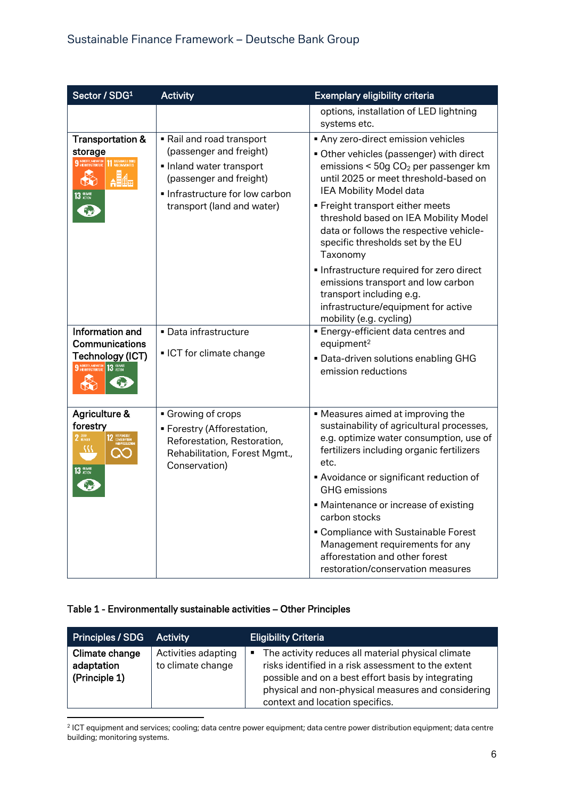| Sector / SDG1                                                                                       | <b>Activity</b>                                                                                                                                                        | Exemplary eligibility criteria                                                                                                                                                                                                                                                                                                                                                                                                                                                                                                                                  |
|-----------------------------------------------------------------------------------------------------|------------------------------------------------------------------------------------------------------------------------------------------------------------------------|-----------------------------------------------------------------------------------------------------------------------------------------------------------------------------------------------------------------------------------------------------------------------------------------------------------------------------------------------------------------------------------------------------------------------------------------------------------------------------------------------------------------------------------------------------------------|
|                                                                                                     |                                                                                                                                                                        | options, installation of LED lightning<br>systems etc.                                                                                                                                                                                                                                                                                                                                                                                                                                                                                                          |
| <b>Transportation &amp;</b><br>storage<br>₩<br>13 SCTION                                            | Rail and road transport<br>(passenger and freight)<br>Inland water transport<br>(passenger and freight)<br>Infrastructure for low carbon<br>transport (land and water) | Any zero-direct emission vehicles<br>• Other vehicles (passenger) with direct<br>emissions < $50g$ CO <sub>2</sub> per passenger km<br>until 2025 or meet threshold-based on<br>IEA Mobility Model data<br>■ Freight transport either meets<br>threshold based on IEA Mobility Model<br>data or follows the respective vehicle-<br>specific thresholds set by the EU<br>Taxonomy<br>Infrastructure required for zero direct<br>emissions transport and low carbon<br>transport including e.g.<br>infrastructure/equipment for active<br>mobility (e.g. cycling) |
| Information and<br>Communications<br>Technology (ICT)<br>9 NOUSTRY, INNOVATION 13 CLIMATE           | · Data infrastructure<br>• ICT for climate change                                                                                                                      | <b>Energy-efficient data centres and</b><br>equipment <sup>2</sup><br>. Data-driven solutions enabling GHG<br>emission reductions                                                                                                                                                                                                                                                                                                                                                                                                                               |
| Agriculture &<br>forestry<br>$2 \frac{\text{H}}{\text{HUNSFR}}$<br>12 RESP<br>32<br>$13 \text{ mm}$ | Growing of crops<br>· Forestry (Afforestation,<br>Reforestation, Restoration,<br>Rehabilitation, Forest Mgmt.,<br>Conservation)                                        | • Measures aimed at improving the<br>sustainability of agricultural processes,<br>e.g. optimize water consumption, use of<br>fertilizers including organic fertilizers<br>etc.<br>Avoidance or significant reduction of<br><b>GHG</b> emissions<br>• Maintenance or increase of existing<br>carbon stocks<br>• Compliance with Sustainable Forest<br>Management requirements for any<br>afforestation and other forest<br>restoration/conservation measures                                                                                                     |

#### Table 1 - Environmentally sustainable activities – Other Principles

| Principles / SDG                              | <b>Activity</b>                          | <b>Eligibility Criteria</b>                                                                                                                                                                                                                                   |
|-----------------------------------------------|------------------------------------------|---------------------------------------------------------------------------------------------------------------------------------------------------------------------------------------------------------------------------------------------------------------|
| Climate change<br>adaptation<br>(Principle 1) | Activities adapting<br>to climate change | The activity reduces all material physical climate<br>٠<br>risks identified in a risk assessment to the extent<br>possible and on a best effort basis by integrating<br>physical and non-physical measures and considering<br>context and location specifics. |

2 ICT equipment and services; cooling; data centre power equipment; data centre power distribution equipment; data centre building; monitoring systems.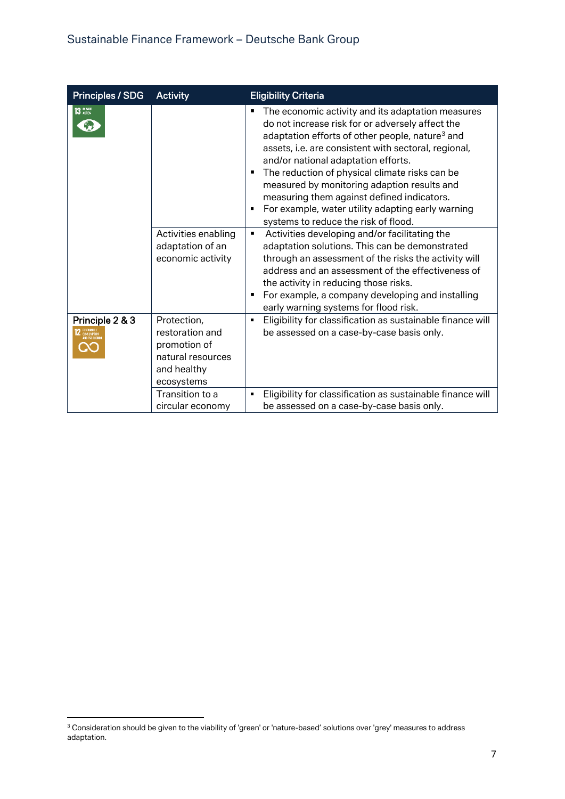| Principles / SDG | <b>Activity</b>                                                                                                     | <b>Eligibility Criteria</b>                                                                                                                                                                                                                                                                                                                                                                                                                                                                                               |
|------------------|---------------------------------------------------------------------------------------------------------------------|---------------------------------------------------------------------------------------------------------------------------------------------------------------------------------------------------------------------------------------------------------------------------------------------------------------------------------------------------------------------------------------------------------------------------------------------------------------------------------------------------------------------------|
| 13 ACTION        |                                                                                                                     | The economic activity and its adaptation measures<br>do not increase risk for or adversely affect the<br>adaptation efforts of other people, nature <sup>3</sup> and<br>assets, i.e. are consistent with sectoral, regional,<br>and/or national adaptation efforts.<br>The reduction of physical climate risks can be<br>٠<br>measured by monitoring adaption results and<br>measuring them against defined indicators.<br>For example, water utility adapting early warning<br>٠<br>systems to reduce the risk of flood. |
|                  | Activities enabling<br>adaptation of an<br>economic activity                                                        | Activities developing and/or facilitating the<br>٠<br>adaptation solutions. This can be demonstrated<br>through an assessment of the risks the activity will<br>address and an assessment of the effectiveness of<br>the activity in reducing those risks.<br>For example, a company developing and installing<br>٠<br>early warning systems for flood risk.                                                                                                                                                              |
| Principle 2 & 3  | Protection,<br>restoration and<br>promotion of<br>natural resources<br>and healthy<br>ecosystems<br>Transition to a | Eligibility for classification as sustainable finance will<br>٠<br>be assessed on a case-by-case basis only.<br>Eligibility for classification as sustainable finance will<br>٠                                                                                                                                                                                                                                                                                                                                           |
|                  | circular economy                                                                                                    | be assessed on a case-by-case basis only.                                                                                                                                                                                                                                                                                                                                                                                                                                                                                 |

 $^3$  Consideration should be given to the viability of 'green' or 'nature-based' solutions over 'grey' measures to address adaptation.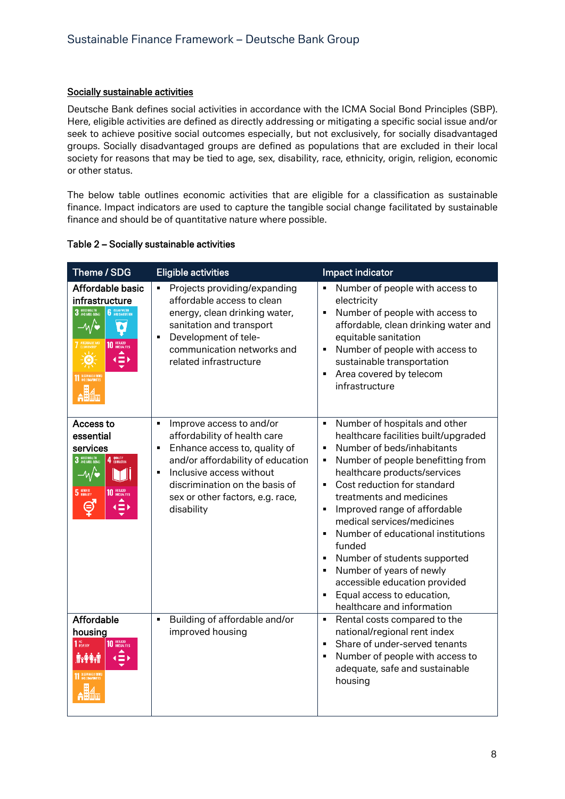#### Socially sustainable activities

Deutsche Bank defines social activities in accordance with the ICMA Social Bond Principles (SBP). Here, eligible activities are defined as directly addressing or mitigating a specific social issue and/or seek to achieve positive social outcomes especially, but not exclusively, for socially disadvantaged groups. Socially disadvantaged groups are defined as populations that are excluded in their local society for reasons that may be tied to age, sex, disability, race, ethnicity, origin, religion, economic or other status.

The below table outlines economic activities that are eligible for a classification as sustainable finance. Impact indicators are used to capture the tangible social change facilitated by sustainable finance and should be of quantitative nature where possible.

|  | Table 2 - Socially sustainable activities |
|--|-------------------------------------------|
|--|-------------------------------------------|

| Theme / SDG                                                                                                                        | <b>Eligible activities</b>                                                                                                                                                                                                                                                                           | Impact indicator                                                                                                                                                                                                                                                                                                                                                                                                                                                                                                                                                                                                                                                |
|------------------------------------------------------------------------------------------------------------------------------------|------------------------------------------------------------------------------------------------------------------------------------------------------------------------------------------------------------------------------------------------------------------------------------------------------|-----------------------------------------------------------------------------------------------------------------------------------------------------------------------------------------------------------------------------------------------------------------------------------------------------------------------------------------------------------------------------------------------------------------------------------------------------------------------------------------------------------------------------------------------------------------------------------------------------------------------------------------------------------------|
| Affordable basic<br>infrastructure<br>3 6000 MEALTH<br><b>6</b> SLEAN WATER<br>$-4\sqrt{2}$<br>$\overline{\bullet}$<br>10 BEQUEED  | Projects providing/expanding<br>$\blacksquare$<br>affordable access to clean<br>energy, clean drinking water,<br>sanitation and transport<br>Development of tele-<br>$\blacksquare$<br>communication networks and<br>related infrastructure                                                          | Number of people with access to<br>$\blacksquare$<br>electricity<br>Number of people with access to<br>$\blacksquare$<br>affordable, clean drinking water and<br>equitable sanitation<br>Number of people with access to<br>$\blacksquare$<br>sustainable transportation<br>Area covered by telecom<br>$\blacksquare$<br>infrastructure                                                                                                                                                                                                                                                                                                                         |
| Access to<br>essential<br>services<br>3 6000 HEALTH<br>4 QUALITY<br>$-M$<br>5 GONDER<br>10 REQUEST<br>⊜<br>$\left( \equiv \right)$ | Improve access to and/or<br>$\blacksquare$<br>affordability of health care<br>Enhance access to, quality of<br>$\blacksquare$<br>and/or affordability of education<br>Inclusive access without<br>$\blacksquare$<br>discrimination on the basis of<br>sex or other factors, e.g. race,<br>disability | Number of hospitals and other<br>$\blacksquare$<br>healthcare facilities built/upgraded<br>Number of beds/inhabitants<br>$\blacksquare$<br>Number of people benefitting from<br>٠<br>healthcare products/services<br>Cost reduction for standard<br>$\blacksquare$<br>treatments and medicines<br>Improved range of affordable<br>$\blacksquare$<br>medical services/medicines<br>Number of educational institutions<br>$\blacksquare$<br>funded<br>Number of students supported<br>$\blacksquare$<br>Number of years of newly<br>$\blacksquare$<br>accessible education provided<br>Equal access to education,<br>$\blacksquare$<br>healthcare and information |
| Affordable<br>housing<br>1 <sup>NO</sup><br>POVERTY<br>10 REQUEST<br><b>AYAAT</b>                                                  | Building of affordable and/or<br>$\blacksquare$<br>improved housing                                                                                                                                                                                                                                  | Rental costs compared to the<br>$\blacksquare$<br>national/regional rent index<br>Share of under-served tenants<br>$\blacksquare$<br>Number of people with access to<br>$\blacksquare$<br>adequate, safe and sustainable<br>housing                                                                                                                                                                                                                                                                                                                                                                                                                             |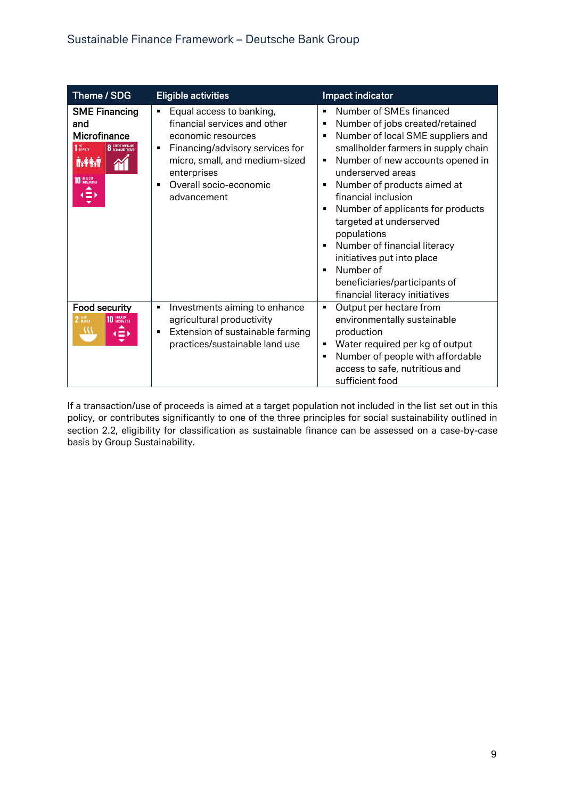| Theme / SDG                                                                                                                                         | <b>Eligible activities</b>                                                                                                                                                                                                                           | Impact indicator                                                                                                                                                                                                                                                                                                                                                                                                                                                                                                                        |
|-----------------------------------------------------------------------------------------------------------------------------------------------------|------------------------------------------------------------------------------------------------------------------------------------------------------------------------------------------------------------------------------------------------------|-----------------------------------------------------------------------------------------------------------------------------------------------------------------------------------------------------------------------------------------------------------------------------------------------------------------------------------------------------------------------------------------------------------------------------------------------------------------------------------------------------------------------------------------|
| <b>SME Financing</b><br>and<br>Microfinance<br>8 DECENT WORK AND<br>1 <sup>NO</sup> POVERTY<br><b>AYAY</b><br>10 HEQUEED<br>$\left( \equiv \right)$ | Equal access to banking,<br>$\blacksquare$<br>financial services and other<br>economic resources<br>Financing/advisory services for<br>٠<br>micro, small, and medium-sized<br>enterprises<br>Overall socio-economic<br>$\blacksquare$<br>advancement | Number of SMEs financed<br>$\blacksquare$<br>Number of jobs created/retained<br>п<br>Number of local SME suppliers and<br>п<br>smallholder farmers in supply chain<br>Number of new accounts opened in<br>п<br>underserved areas<br>Number of products aimed at<br>П<br>financial inclusion<br>Number of applicants for products<br>п<br>targeted at underserved<br>populations<br>Number of financial literacy<br>п<br>initiatives put into place<br>Number of<br>п<br>beneficiaries/participants of<br>financial literacy initiatives |
| Food security<br>$2 \frac{\text{H}80}{\text{HUNGER}}$<br><b>10 REQUIRED</b><br>$\left( \equiv \right)$                                              | Investments aiming to enhance<br>٠<br>agricultural productivity<br>Extension of sustainable farming<br>٠<br>practices/sustainable land use                                                                                                           | Output per hectare from<br>Ξ<br>environmentally sustainable<br>production<br>Water required per kg of output<br>п<br>Number of people with affordable<br>$\blacksquare$<br>access to safe, nutritious and<br>sufficient food                                                                                                                                                                                                                                                                                                            |

If a transaction/use of proceeds is aimed at a target population not included in the list set out in this policy, or contributes significantly to one of the three principles for social sustainability outlined in section 2.2, eligibility for classification as sustainable finance can be assessed on a case-by-case basis by Group Sustainability.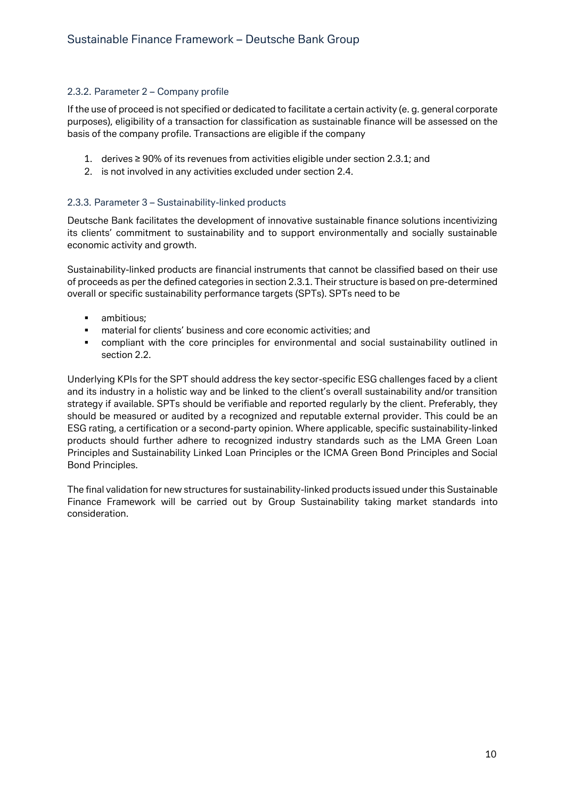#### <span id="page-11-0"></span>2.3.2. Parameter 2 – Company profile

If the use of proceed is not specified or dedicated to facilitate a certain activity (e. g. general corporate purposes), eligibility of a transaction for classification as sustainable finance will be assessed on the basis of the company profile. Transactions are eligible if the company

- 1. derives ≥ 90% of its revenues from activities eligible under section 2.3.1; and
- 2. is not involved in any activities excluded under section 2.4.

#### <span id="page-11-1"></span>2.3.3. Parameter 3 – Sustainability-linked products

Deutsche Bank facilitates the development of innovative sustainable finance solutions incentivizing its clients' commitment to sustainability and to support environmentally and socially sustainable economic activity and growth.

Sustainability-linked products are financial instruments that cannot be classified based on their use of proceeds as per the defined categories in section 2.3.1. Their structure is based on pre-determined overall or specific sustainability performance targets (SPTs). SPTs need to be

- ambitious:
- material for clients' business and core economic activities; and
- compliant with the core principles for environmental and social sustainability outlined in section 2.2.

Underlying KPIs for the SPT should address the key sector-specific ESG challenges faced by a client and its industry in a holistic way and be linked to the client's overall sustainability and/or transition strategy if available. SPTs should be verifiable and reported regularly by the client. Preferably, they should be measured or audited by a recognized and reputable external provider. This could be an ESG rating, a certification or a second-party opinion. Where applicable, specific sustainability-linked products should further adhere to recognized industry standards such as the LMA Green Loan Principles and Sustainability Linked Loan Principles or the ICMA Green Bond Principles and Social Bond Principles.

The final validation for new structures for sustainability-linked products issued under this Sustainable Finance Framework will be carried out by Group Sustainability taking market standards into consideration.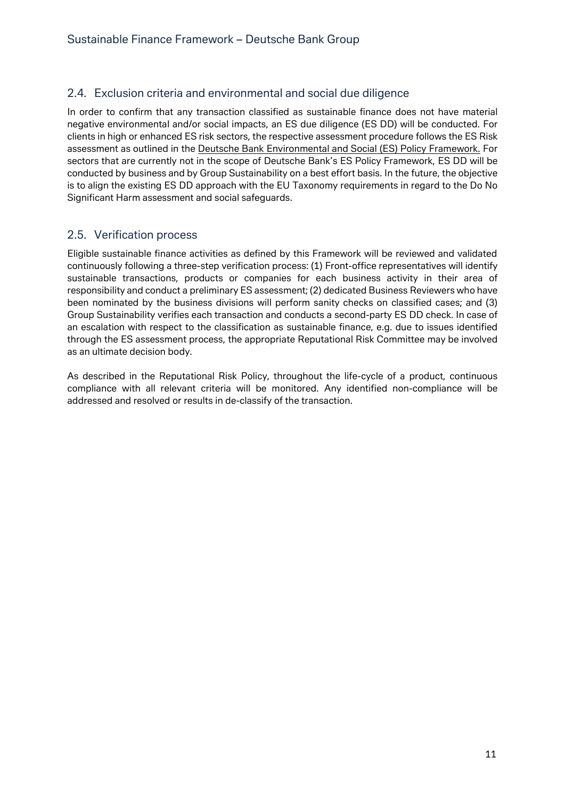#### <span id="page-12-0"></span>2.4. Exclusion criteria and environmental and social due diligence

In order to confirm that any transaction classified as sustainable finance does not have material negative environmental and/or social impacts, an ES due diligence (ES DD) will be conducted. For clients in high or enhanced ES risk sectors, the respective assessment procedure follows the ES Risk assessment as outlined in the [Deutsche Bank Environmental and Social \(ES\) Policy](https://www.db.com/files/documents/db-es-policy-framework-english.pdf) Framework. For sectors that are currently not in the scope of Deutsche Bank's ES Policy Framework, ES DD will be conducted by business and by Group Sustainability on a best effort basis. In the future, the objective is to align the existing ES DD approach with the EU Taxonomy requirements in regard to the Do No Significant Harm assessment and social safeguards.

#### <span id="page-12-1"></span>2.5. Verification process

Eligible sustainable finance activities as defined by this Framework will be reviewed and validated continuously following a three-step verification process: (1) Front-office representatives will identify sustainable transactions, products or companies for each business activity in their area of responsibility and conduct a preliminary ES assessment; (2) dedicated Business Reviewers who have been nominated by the business divisions will perform sanity checks on classified cases; and (3) Group Sustainability verifies each transaction and conducts a second-party ES DD check. In case of an escalation with respect to the classification as sustainable finance, e.g. due to issues identified through the ES assessment process, the appropriate [Reputational Risk Committee](https://www.db.com/cr/en/responsible-business/management--of--reputational--risks_.htm) may be involved as an ultimate decision body.

As described in the Reputational Risk Policy, throughout the life-cycle of a product, continuous compliance with all relevant criteria will be monitored. Any identified non-compliance will be addressed and resolved or results in de-classify of the transaction.